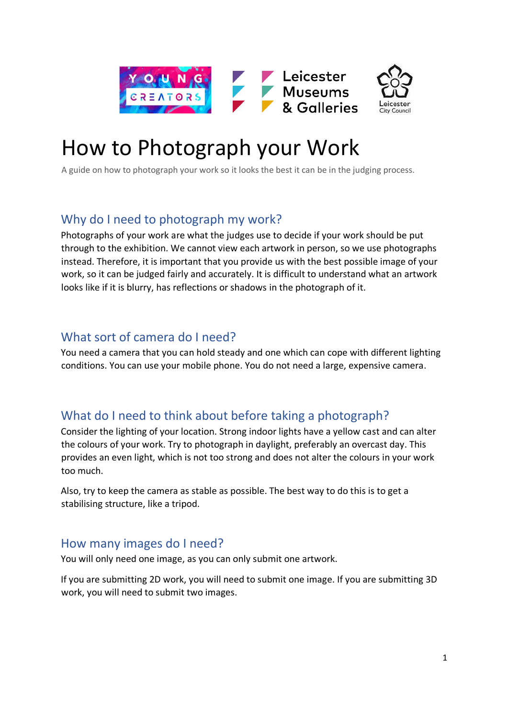



# How to Photograph your Work

A guide on how to photograph your work so it looks the best it can be in the judging process.

## Why do I need to photograph my work?

Photographs of your work are what the judges use to decide if your work should be put through to the exhibition. We cannot view each artwork in person, so we use photographs instead. Therefore, it is important that you provide us with the best possible image of your work, so it can be judged fairly and accurately. It is difficult to understand what an artwork looks like if it is blurry, has reflections or shadows in the photograph of it.

## What sort of camera do I need?

You need a camera that you can hold steady and one which can cope with different lighting conditions. You can use your mobile phone. You do not need a large, expensive camera.

# What do I need to think about before taking a photograph?

Consider the lighting of your location. Strong indoor lights have a yellow cast and can alter the colours of your work. Try to photograph in daylight, preferably an overcast day. This provides an even light, which is not too strong and does not alter the colours in your work too much.

Also, try to keep the camera as stable as possible. The best way to do this is to get a stabilising structure, like a tripod.

#### How many images do I need?

You will only need one image, as you can only submit one artwork.

If you are submitting 2D work, you will need to submit one image. If you are submitting 3D work, you will need to submit two images.